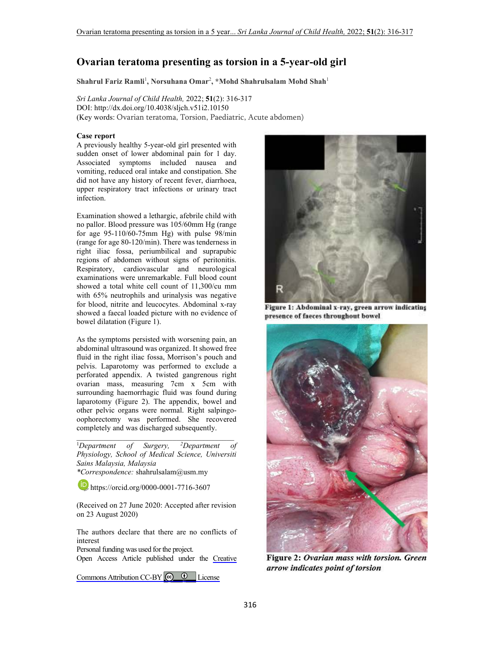## **Ovarian teratoma presenting as torsion in a 5-year-old girl**

**Shahrul Fariz Ramli**<sup>1</sup> **, Norsuhana Omar**<sup>2</sup> **, \*Mohd Shahrulsalam Mohd Shah**<sup>1</sup>

*Sri Lanka Journal of Child Health,* 2022; **51**(2): 316-317 DOI: http://dx.doi.org/10.4038/sljch.v51i2.10150 (Key words: Ovarian teratoma, Torsion, Paediatric, Acute abdomen)

## **Case report**

A previously healthy 5-year-old girl presented with sudden onset of lower abdominal pain for 1 day. Associated symptoms included nausea and vomiting, reduced oral intake and constipation. She did not have any history of recent fever, diarrhoea, upper respiratory tract infections or urinary tract infection.

Examination showed a lethargic, afebrile child with no pallor. Blood pressure was 105/60mm Hg (range for age 95-110/60-75mm Hg) with pulse 98/min (range for age 80-120/min). There was tenderness in right iliac fossa, periumbilical and suprapubic regions of abdomen without signs of peritonitis. Respiratory, cardiovascular and neurological examinations were unremarkable. Full blood count showed a total white cell count of 11,300/cu mm with 65% neutrophils and urinalysis was negative for blood, nitrite and leucocytes. Abdominal x-ray showed a faecal loaded picture with no evidence of bowel dilatation (Figure 1).

As the symptoms persisted with worsening pain, an abdominal ultrasound was organized. It showed free fluid in the right iliac fossa, Morrison's pouch and pelvis. Laparotomy was performed to exclude a perforated appendix. A twisted gangrenous right ovarian mass, measuring 7cm x 5cm with surrounding haemorrhagic fluid was found during laparotomy (Figure 2). The appendix, bowel and other pelvic organs were normal. Right salpingooophorectomy was performed. She recovered completely and was discharged subsequently.

<sup>1</sup>*Department of Surgery, <sup>2</sup>Department of Physiology, School of Medical Science, Universiti Sains Malaysia, Malaysia* 

*\*Correspondence:* shahrulsalam@usm.my

https://orcid.org/0000-0001-7716-3607

(Received on 27 June 2020: Accepted after revision on 23 August 2020)

The authors declare that there are no conflicts of interest

Personal funding was used for the project.

Open Access Article published under the [Creative](https://creativecommons.org/licenses/by/4.0/) 

Commons Attribution CC-BY  $\bigcirc$   $\bigcirc$  License



Figure 1: Abdominal x-ray, green arrow indicating presence of faeces throughout bowel



Figure 2: Ovarian mass with torsion. Green arrow indicates point of torsion